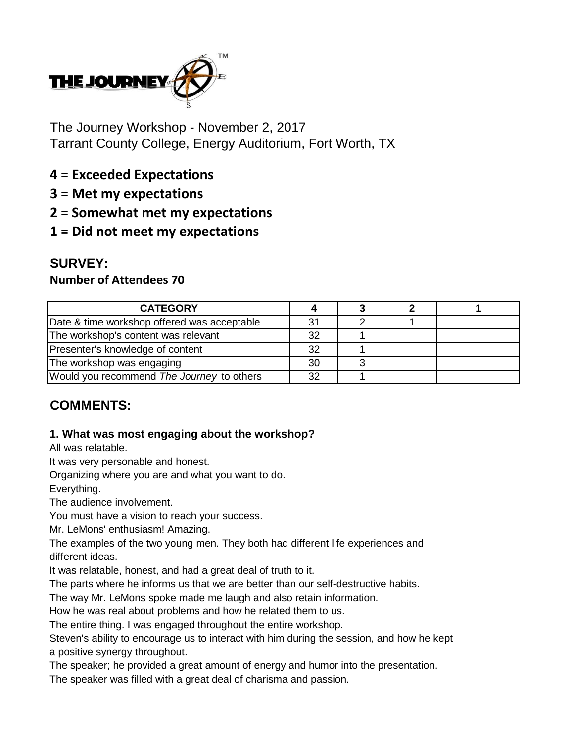

The Journey Workshop - November 2, 2017 Tarrant County College, Energy Auditorium, Fort Worth, TX

- **4 = Exceeded Expectations**
- **3 = Met my expectations**
- **2 = Somewhat met my expectations**
- **1 = Did not meet my expectations**

# **SURVEY:**

### **Number of Attendees 70**

| <b>CATEGORY</b>                             |    |  |  |
|---------------------------------------------|----|--|--|
| Date & time workshop offered was acceptable | 31 |  |  |
| The workshop's content was relevant         | 32 |  |  |
| Presenter's knowledge of content            | 32 |  |  |
| The workshop was engaging                   | 30 |  |  |
| Would you recommend The Journey to others   | 32 |  |  |

# **COMMENTS:**

#### **1. What was most engaging about the workshop?**

All was relatable.

It was very personable and honest.

Organizing where you are and what you want to do.

Everything.

The audience involvement.

You must have a vision to reach your success.

Mr. LeMons' enthusiasm! Amazing.

The examples of the two young men. They both had different life experiences and different ideas.

It was relatable, honest, and had a great deal of truth to it.

The parts where he informs us that we are better than our self-destructive habits.

The way Mr. LeMons spoke made me laugh and also retain information.

How he was real about problems and how he related them to us.

The entire thing. I was engaged throughout the entire workshop.

Steven's ability to encourage us to interact with him during the session, and how he kept a positive synergy throughout.

The speaker; he provided a great amount of energy and humor into the presentation.

The speaker was filled with a great deal of charisma and passion.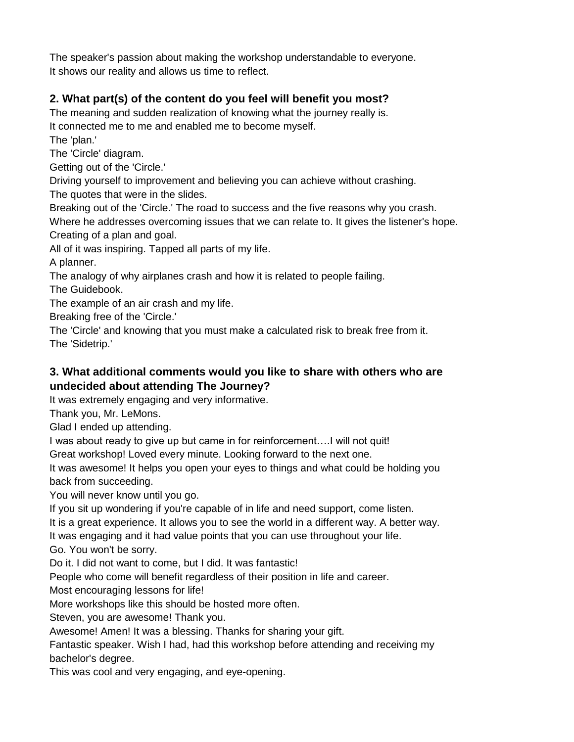The speaker's passion about making the workshop understandable to everyone. It shows our reality and allows us time to reflect.

### **2. What part(s) of the content do you feel will benefit you most?**

The meaning and sudden realization of knowing what the journey really is. It connected me to me and enabled me to become myself. The 'plan.'

The 'Circle' diagram.

Getting out of the 'Circle.'

Driving yourself to improvement and believing you can achieve without crashing.

The quotes that were in the slides.

Breaking out of the 'Circle.' The road to success and the five reasons why you crash.

Where he addresses overcoming issues that we can relate to. It gives the listener's hope. Creating of a plan and goal.

All of it was inspiring. Tapped all parts of my life.

A planner.

The analogy of why airplanes crash and how it is related to people failing.

The Guidebook.

The example of an air crash and my life.

Breaking free of the 'Circle.'

The 'Circle' and knowing that you must make a calculated risk to break free from it. The 'Sidetrip.'

#### **3. What additional comments would you like to share with others who are undecided about attending The Journey?**

It was extremely engaging and very informative.

Thank you, Mr. LeMons.

Glad I ended up attending.

I was about ready to give up but came in for reinforcement….I will not quit!

Great workshop! Loved every minute. Looking forward to the next one.

It was awesome! It helps you open your eyes to things and what could be holding you back from succeeding.

You will never know until you go.

If you sit up wondering if you're capable of in life and need support, come listen.

It is a great experience. It allows you to see the world in a different way. A better way.

It was engaging and it had value points that you can use throughout your life.

Go. You won't be sorry.

Do it. I did not want to come, but I did. It was fantastic!

People who come will benefit regardless of their position in life and career.

Most encouraging lessons for life!

More workshops like this should be hosted more often.

Steven, you are awesome! Thank you.

Awesome! Amen! It was a blessing. Thanks for sharing your gift.

Fantastic speaker. Wish I had, had this workshop before attending and receiving my bachelor's degree.

This was cool and very engaging, and eye-opening.